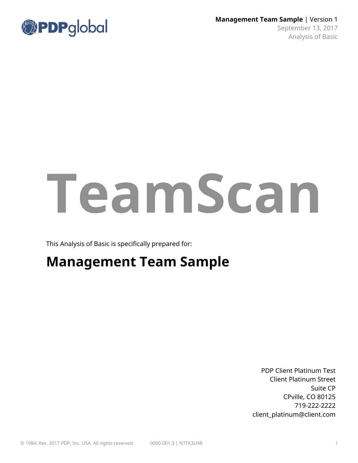

# **TeamScan**

This Analysis of Basic is specifically prepared for:

# **Management Team Sample**

PDP Client Platinum Test Client Platinum Street Suite CP CPville, CO 80125 719-222-2222 client\_platinum@client.com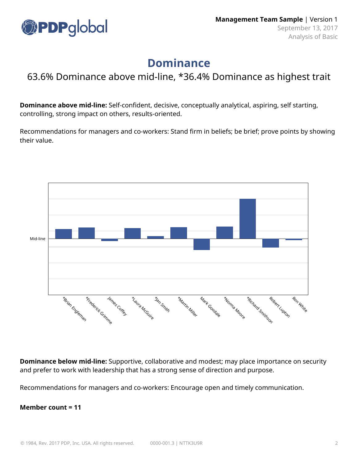

## **Dominance**

#### 63.6% Dominance above mid-line, \*36.4% Dominance as highest trait

**Dominance above mid-line:** Self-confident, decisive, conceptually analytical, aspiring, self starting, controlling, strong impact on others, results-oriented.

Recommendations for managers and co-workers: Stand firm in beliefs; be brief; prove points by showing their value.



**Dominance below mid-line:** Supportive, collaborative and modest; may place importance on security and prefer to work with leadership that has a strong sense of direction and purpose.

Recommendations for managers and co-workers: Encourage open and timely communication.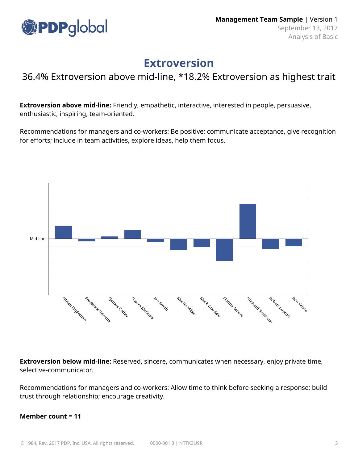

### **Extroversion**

#### 36.4% Extroversion above mid-line, \*18.2% Extroversion as highest trait

**Extroversion above mid-line:** Friendly, empathetic, interactive, interested in people, persuasive, enthusiastic, inspiring, team-oriented.

Recommendations for managers and co-workers: Be positive; communicate acceptance, give recognition for efforts; include in team activities, explore ideas, help them focus.



**Extroversion below mid-line:** Reserved, sincere, communicates when necessary, enjoy private time, selective-communicator.

Recommendations for managers and co-workers: Allow time to think before seeking a response; build trust through relationship; encourage creativity.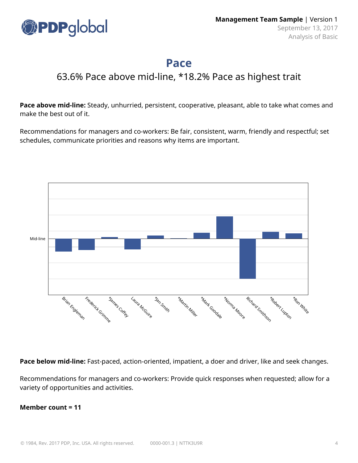

### **Pace**

#### 63.6% Pace above mid-line, \*18.2% Pace as highest trait

**Pace above mid-line:** Steady, unhurried, persistent, cooperative, pleasant, able to take what comes and make the best out of it.

Recommendations for managers and co-workers: Be fair, consistent, warm, friendly and respectful; set schedules, communicate priorities and reasons why items are important.



**Pace below mid-line:** Fast-paced, action-oriented, impatient, a doer and driver, like and seek changes.

Recommendations for managers and co-workers: Provide quick responses when requested; allow for a variety of opportunities and activities.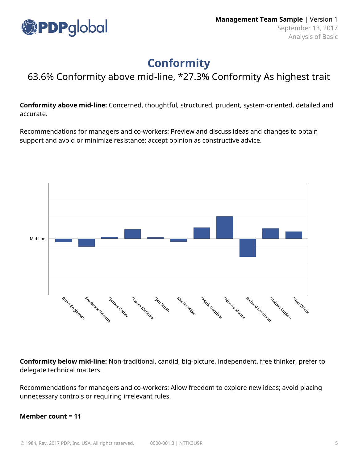

## **Conformity**

#### 63.6% Conformity above mid-line, \*27.3% Conformity As highest trait

**Conformity above mid-line:** Concerned, thoughtful, structured, prudent, system-oriented, detailed and accurate.

Recommendations for managers and co-workers: Preview and discuss ideas and changes to obtain support and avoid or minimize resistance; accept opinion as constructive advice.



**Conformity below mid-line:** Non-traditional, candid, big-picture, independent, free thinker, prefer to delegate technical matters.

Recommendations for managers and co-workers: Allow freedom to explore new ideas; avoid placing unnecessary controls or requiring irrelevant rules.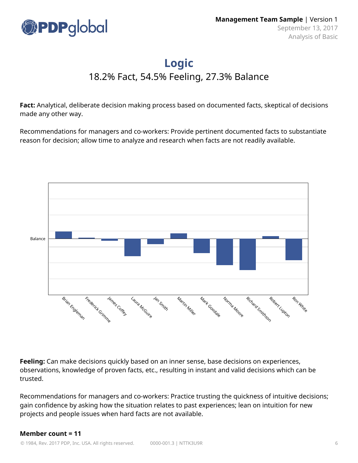

# **Logic**

18.2% Fact, 54.5% Feeling, 27.3% Balance

**Fact:** Analytical, deliberate decision making process based on documented facts, skeptical of decisions made any other way.

Recommendations for managers and co-workers: Provide pertinent documented facts to substantiate reason for decision; allow time to analyze and research when facts are not readily available.



**Feeling:** Can make decisions quickly based on an inner sense, base decisions on experiences, observations, knowledge of proven facts, etc., resulting in instant and valid decisions which can be trusted.

Recommendations for managers and co-workers: Practice trusting the quickness of intuitive decisions; gain confidence by asking how the situation relates to past experiences; lean on intuition for new projects and people issues when hard facts are not available.